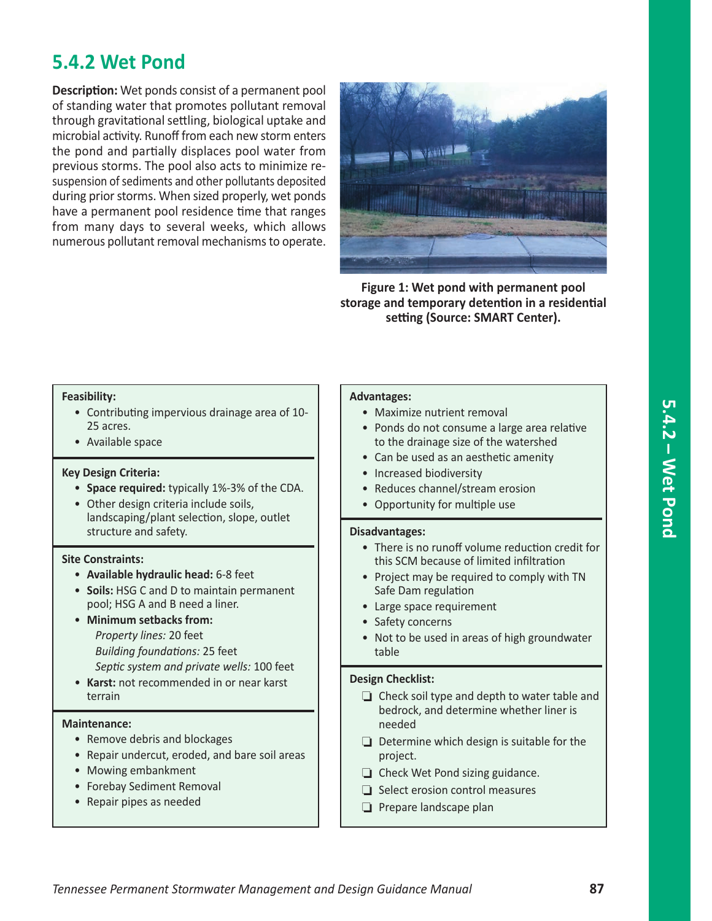# **5.4.2 Wet Pond**

**Description:** Wet ponds consist of a permanent pool of standing water that promotes pollutant removal through gravitational settling, biological uptake and microbial activity. Runoff from each new storm enters the pond and partially displaces pool water from previous storms. The pool also acts to minimize resuspension of sediments and other pollutants deposited during prior storms. When sized properly, wet ponds have a permanent pool residence time that ranges from many days to several weeks, which allows numerous pollutant removal mechanisms to operate.



**Figure 1: Wet pond with permanent pool storage and temporary detention in a residential setting (Source: SMART Center).**

#### **Feasibility:**

- Contributing impervious drainage area of 10- 25 acres.
- Available space

#### **Key Design Criteria:**

- **Space required:** typically 1%-3% of the CDA.
- Other design criteria include soils, landscaping/plant selection, slope, outlet structure and safety.

#### **Site Constraints:**

- **Available hydraulic head:** 6-8 feet
- **Soils:** HSG C and D to maintain permanent pool; HSG A and B need a liner.
- **Minimum setbacks from:** *Property lines:* 20 feet *Building foundations:* 25 feet *Septic system and private wells:* 100 feet
- **Karst:** not recommended in or near karst terrain

#### **Maintenance:**

- Remove debris and blockages
- Repair undercut, eroded, and bare soil areas
- Mowing embankment
- Forebay Sediment Removal
- Repair pipes as needed

#### **Advantages:**

- Maximize nutrient removal
- Ponds do not consume a large area relative to the drainage size of the watershed
- Can be used as an aesthetic amenity
- Increased biodiversity
- Reduces channel/stream erosion
- Opportunity for multiple use

#### **Disadvantages:**

- There is no runoff volume reduction credit for this SCM because of limited infiltration
- Project may be required to comply with TN Safe Dam regulation
- Large space requirement
- Safety concerns
- Not to be used in areas of high groundwater table

#### **Design Checklist:**

- $\Box$  Check soil type and depth to water table and bedrock, and determine whether liner is needed
- $\Box$  Determine which design is suitable for the project.
- $\Box$  Check Wet Pond sizing guidance.
- $\Box$  Select erosion control measures
- $\Box$  Prepare landscape plan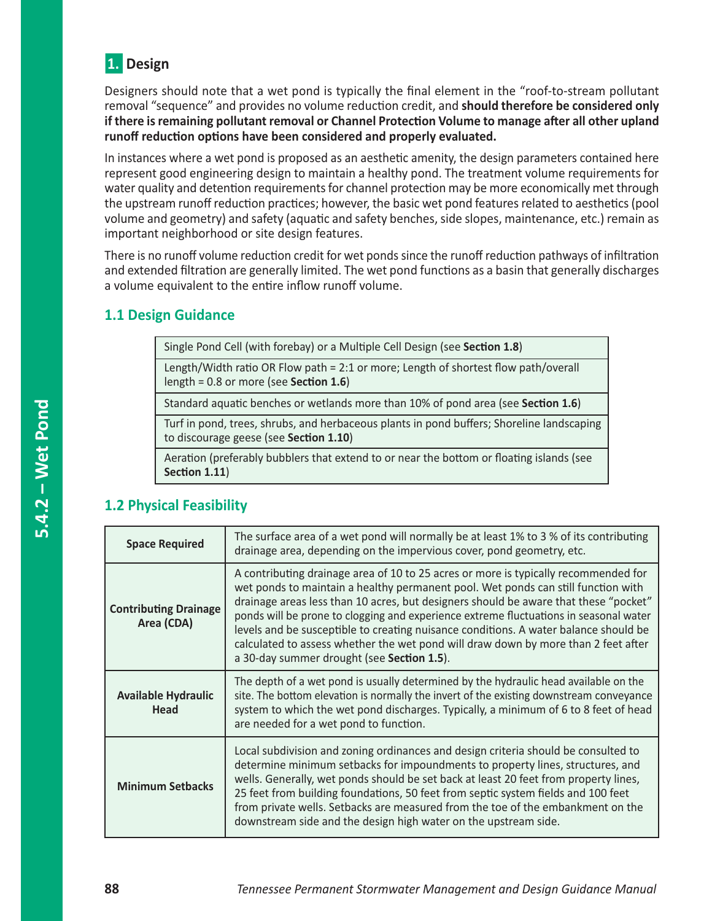

Designers should note that a wet pond is typically the final element in the "roof-to-stream pollutant removal "sequence" and provides no volume reduction credit, and **should therefore be considered only if there is remaining pollutant removal or Channel Protection Volume to manage after all other upland runoff reduction options have been considered and properly evaluated.**

In instances where a wet pond is proposed as an aesthetic amenity, the design parameters contained here represent good engineering design to maintain a healthy pond. The treatment volume requirements for water quality and detention requirements for channel protection may be more economically met through the upstream runoff reduction practices; however, the basic wet pond features related to aesthetics (pool volume and geometry) and safety (aquatic and safety benches, side slopes, maintenance, etc.) remain as important neighborhood or site design features.

There is no runoff volume reduction credit for wet ponds since the runoff reduction pathways of infiltration and extended filtration are generally limited. The wet pond functions as a basin that generally discharges a volume equivalent to the entire inflow runoff volume.

# **1.1 Design Guidance**

Single Pond Cell (with forebay) or a Multiple Cell Design (see **Section 1.8**)

Length/Width ratio OR Flow path = 2:1 or more; Length of shortest flow path/overall length = 0.8 or more (see **Section 1.6**)

Standard aquatic benches or wetlands more than 10% of pond area (see **Section 1.6**)

Turf in pond, trees, shrubs, and herbaceous plants in pond buffers; Shoreline landscaping to discourage geese (see **Section 1.10**)

Aeration (preferably bubblers that extend to or near the bottom or floating islands (see **Section 1.11**)

# **1.2 Physical Feasibility**

| <b>Space Required</b>                      | The surface area of a wet pond will normally be at least 1% to 3 % of its contributing<br>drainage area, depending on the impervious cover, pond geometry, etc.                                                                                                                                                                                                                                                                                                                                                                                                                       |
|--------------------------------------------|---------------------------------------------------------------------------------------------------------------------------------------------------------------------------------------------------------------------------------------------------------------------------------------------------------------------------------------------------------------------------------------------------------------------------------------------------------------------------------------------------------------------------------------------------------------------------------------|
| <b>Contributing Drainage</b><br>Area (CDA) | A contributing drainage area of 10 to 25 acres or more is typically recommended for<br>wet ponds to maintain a healthy permanent pool. Wet ponds can still function with<br>drainage areas less than 10 acres, but designers should be aware that these "pocket"<br>ponds will be prone to clogging and experience extreme fluctuations in seasonal water<br>levels and be susceptible to creating nuisance conditions. A water balance should be<br>calculated to assess whether the wet pond will draw down by more than 2 feet after<br>a 30-day summer drought (see Section 1.5). |
| <b>Available Hydraulic</b><br><b>Head</b>  | The depth of a wet pond is usually determined by the hydraulic head available on the<br>site. The bottom elevation is normally the invert of the existing downstream conveyance<br>system to which the wet pond discharges. Typically, a minimum of 6 to 8 feet of head<br>are needed for a wet pond to function.                                                                                                                                                                                                                                                                     |
| <b>Minimum Setbacks</b>                    | Local subdivision and zoning ordinances and design criteria should be consulted to<br>determine minimum setbacks for impoundments to property lines, structures, and<br>wells. Generally, wet ponds should be set back at least 20 feet from property lines,<br>25 feet from building foundations, 50 feet from septic system fields and 100 feet<br>from private wells. Setbacks are measured from the toe of the embankment on the<br>downstream side and the design high water on the upstream side.                                                                               |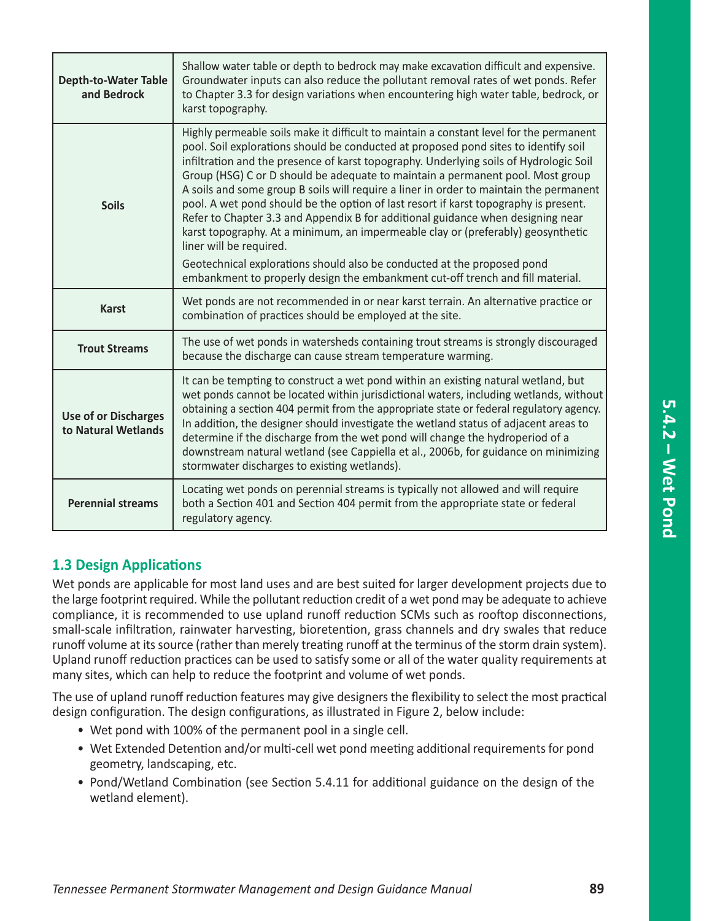| <b>Depth-to-Water Table</b><br>and Bedrock         | Shallow water table or depth to bedrock may make excavation difficult and expensive.<br>Groundwater inputs can also reduce the pollutant removal rates of wet ponds. Refer<br>to Chapter 3.3 for design variations when encountering high water table, bedrock, or<br>karst topography.                                                                                                                                                                                                                                                                                                                                                                                                                                                                                                                                                                                                                     |
|----------------------------------------------------|-------------------------------------------------------------------------------------------------------------------------------------------------------------------------------------------------------------------------------------------------------------------------------------------------------------------------------------------------------------------------------------------------------------------------------------------------------------------------------------------------------------------------------------------------------------------------------------------------------------------------------------------------------------------------------------------------------------------------------------------------------------------------------------------------------------------------------------------------------------------------------------------------------------|
| <b>Soils</b>                                       | Highly permeable soils make it difficult to maintain a constant level for the permanent<br>pool. Soil explorations should be conducted at proposed pond sites to identify soil<br>infiltration and the presence of karst topography. Underlying soils of Hydrologic Soil<br>Group (HSG) C or D should be adequate to maintain a permanent pool. Most group<br>A soils and some group B soils will require a liner in order to maintain the permanent<br>pool. A wet pond should be the option of last resort if karst topography is present.<br>Refer to Chapter 3.3 and Appendix B for additional guidance when designing near<br>karst topography. At a minimum, an impermeable clay or (preferably) geosynthetic<br>liner will be required.<br>Geotechnical explorations should also be conducted at the proposed pond<br>embankment to properly design the embankment cut-off trench and fill material. |
| <b>Karst</b>                                       | Wet ponds are not recommended in or near karst terrain. An alternative practice or<br>combination of practices should be employed at the site.                                                                                                                                                                                                                                                                                                                                                                                                                                                                                                                                                                                                                                                                                                                                                              |
| <b>Trout Streams</b>                               | The use of wet ponds in watersheds containing trout streams is strongly discouraged<br>because the discharge can cause stream temperature warming.                                                                                                                                                                                                                                                                                                                                                                                                                                                                                                                                                                                                                                                                                                                                                          |
| <b>Use of or Discharges</b><br>to Natural Wetlands | It can be tempting to construct a wet pond within an existing natural wetland, but<br>wet ponds cannot be located within jurisdictional waters, including wetlands, without<br>obtaining a section 404 permit from the appropriate state or federal regulatory agency.<br>In addition, the designer should investigate the wetland status of adjacent areas to<br>determine if the discharge from the wet pond will change the hydroperiod of a<br>downstream natural wetland (see Cappiella et al., 2006b, for guidance on minimizing<br>stormwater discharges to existing wetlands).                                                                                                                                                                                                                                                                                                                      |
| <b>Perennial streams</b>                           | Locating wet ponds on perennial streams is typically not allowed and will require<br>both a Section 401 and Section 404 permit from the appropriate state or federal<br>regulatory agency.                                                                                                                                                                                                                                                                                                                                                                                                                                                                                                                                                                                                                                                                                                                  |

# **1.3 Design Applications**

Wet ponds are applicable for most land uses and are best suited for larger development projects due to the large footprint required. While the pollutant reduction credit of a wet pond may be adequate to achieve compliance, it is recommended to use upland runoff reduction SCMs such as rooftop disconnections, small-scale infiltration, rainwater harvesting, bioretention, grass channels and dry swales that reduce runoff volume at its source (rather than merely treating runoff at the terminus of the storm drain system). Upland runoff reduction practices can be used to satisfy some or all of the water quality requirements at many sites, which can help to reduce the footprint and volume of wet ponds.

The use of upland runoff reduction features may give designers the flexibility to select the most practical design configuration. The design configurations, as illustrated in Figure 2, below include:

- Wet pond with 100% of the permanent pool in a single cell.
- Wet Extended Detention and/or multi-cell wet pond meeting additional requirements for pond geometry, landscaping, etc.
- Pond/Wetland Combination (see Section 5.4.11 for additional guidance on the design of the wetland element).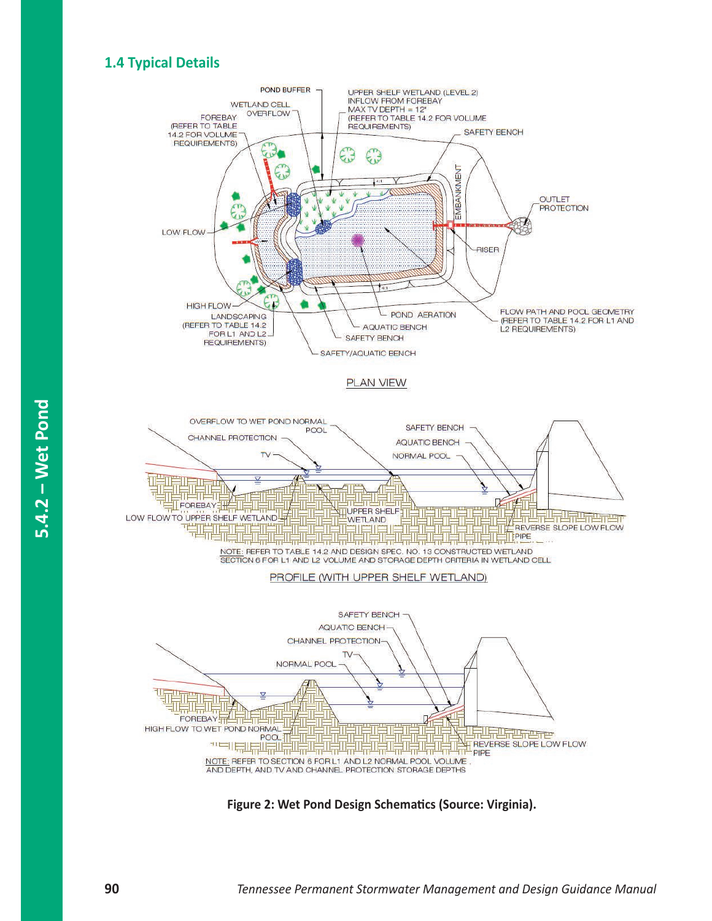# **1.4 Typical Details**



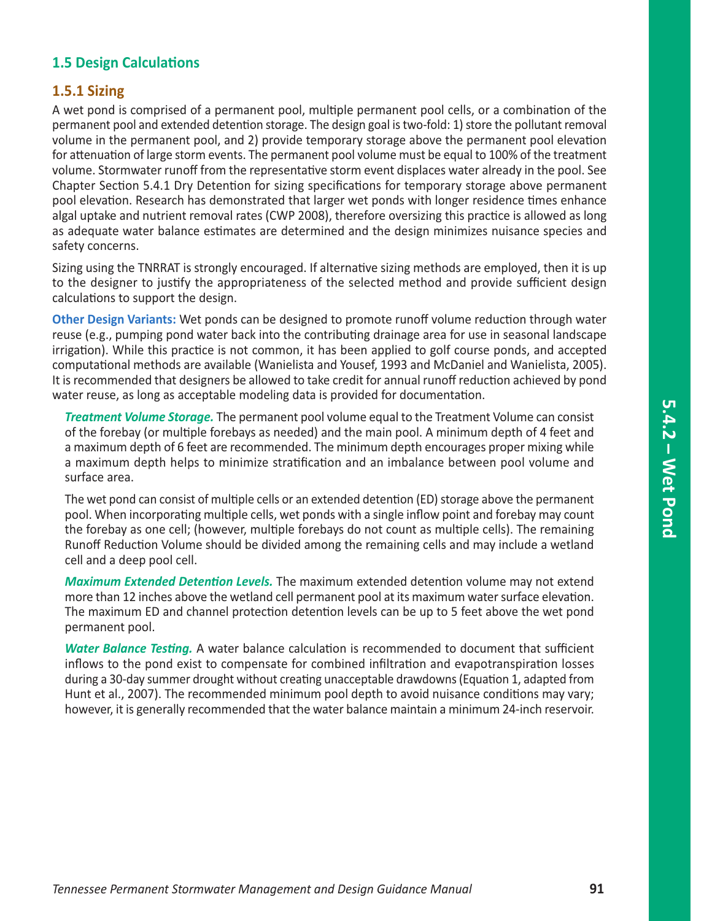# **1.5 Design Calculations**

## **1.5.1 Sizing**

A wet pond is comprised of a permanent pool, multiple permanent pool cells, or a combination of the permanent pool and extended detention storage. The design goal is two-fold: 1) store the pollutant removal volume in the permanent pool, and 2) provide temporary storage above the permanent pool elevation for attenuation of large storm events. The permanent pool volume must be equal to 100% of the treatment volume. Stormwater runoff from the representative storm event displaces water already in the pool. See Chapter Section 5.4.1 Dry Detention for sizing specifications for temporary storage above permanent pool elevation. Research has demonstrated that larger wet ponds with longer residence times enhance algal uptake and nutrient removal rates (CWP 2008), therefore oversizing this practice is allowed as long as adequate water balance estimates are determined and the design minimizes nuisance species and safety concerns.

Sizing using the TNRRAT is strongly encouraged. If alternative sizing methods are employed, then it is up to the designer to justify the appropriateness of the selected method and provide sufficient design calculations to support the design.

**Other Design Variants:** Wet ponds can be designed to promote runoff volume reduction through water reuse (e.g., pumping pond water back into the contributing drainage area for use in seasonal landscape irrigation). While this practice is not common, it has been applied to golf course ponds, and accepted computational methods are available (Wanielista and Yousef, 1993 and McDaniel and Wanielista, 2005). It is recommended that designers be allowed to take credit for annual runoff reduction achieved by pond water reuse, as long as acceptable modeling data is provided for documentation.

*Treatment Volume Storage.* The permanent pool volume equal to the Treatment Volume can consist of the forebay (or multiple forebays as needed) and the main pool. A minimum depth of 4 feet and a maximum depth of 6 feet are recommended. The minimum depth encourages proper mixing while a maximum depth helps to minimize stratification and an imbalance between pool volume and surface area.

The wet pond can consist of multiple cells or an extended detention (ED) storage above the permanent pool. When incorporating multiple cells, wet ponds with a single inflow point and forebay may count the forebay as one cell; (however, multiple forebays do not count as multiple cells). The remaining Runoff Reduction Volume should be divided among the remaining cells and may include a wetland cell and a deep pool cell.

*Maximum Extended Detention Levels.* The maximum extended detention volume may not extend more than 12 inches above the wetland cell permanent pool at its maximum water surface elevation. The maximum ED and channel protection detention levels can be up to 5 feet above the wet pond permanent pool.

*Water Balance Testing.* A water balance calculation is recommended to document that sufficient inflows to the pond exist to compensate for combined infiltration and evapotranspiration losses during a 30-day summer drought without creating unacceptable drawdowns (Equation 1, adapted from Hunt et al., 2007). The recommended minimum pool depth to avoid nuisance conditions may vary; however, it is generally recommended that the water balance maintain a minimum 24-inch reservoir.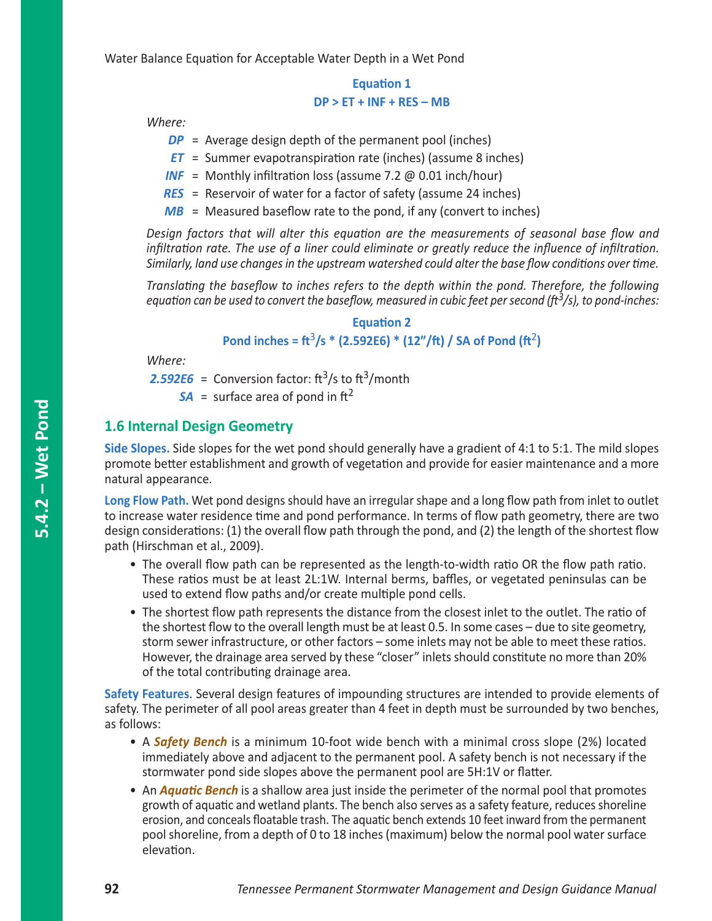Water Balance Equation for Acceptable Water Depth in a Wet Pond

## **Equation 1 DP > ET + INF + RES – MB**

*Where:*

- *DP* = Average design depth of the permanent pool (inches)
- *ET* = Summer evapotranspiration rate (inches) (assume 8 inches)
- *INF* = Monthly infiltration loss (assume 7.2 @ 0.01 inch/hour)
- *RES* = Reservoir of water for a factor of safety (assume 24 inches)
- *MB* = Measured baseflow rate to the pond, if any (convert to inches)

*Design factors that will alter this equation are the measurements of seasonal base flow and infiltration rate. The use of a liner could eliminate or greatly reduce the influence of infiltration. Similarly, land use changes in the upstream watershed could alter the base flow conditions over time.*

*Translating the baseflow to inches refers to the depth within the pond. Therefore, the following equation can be used to convert the baseflow, measured in cubic feet per second (ft3/s), to pond-inches:*

#### **Equation 2**

**Pond inches =**  $\frac{\pi^3}{s}$  **\* (2.592E6) \* (12"/ft) / SA of Pond (** $\frac{\pi^2}{s}$ **)** 

*Where:*

**2.592E6** = Conversion factor:  $\text{ft}^3\text{/s}$  to  $\text{ft}^3\text{/month}$ 

 $SA =$  surface area of pond in ft<sup>2</sup>

## **1.6 Internal Design Geometry**

**Side Slopes.** Side slopes for the wet pond should generally have a gradient of 4:1 to 5:1. The mild slopes promote better establishment and growth of vegetation and provide for easier maintenance and a more natural appearance.

**Long Flow Path.** Wet pond designs should have an irregular shape and a long flow path from inlet to outlet to increase water residence time and pond performance. In terms of flow path geometry, there are two design considerations: (1) the overall flow path through the pond, and (2) the length of the shortest flow path (Hirschman et al., 2009).

- The overall flow path can be represented as the length-to-width ratio OR the flow path ratio. These ratios must be at least 2L:1W. Internal berms, baffles, or vegetated peninsulas can be used to extend flow paths and/or create multiple pond cells.
- The shortest flow path represents the distance from the closest inlet to the outlet. The ratio of the shortest flow to the overall length must be at least 0.5. In some cases – due to site geometry, storm sewer infrastructure, or other factors – some inlets may not be able to meet these ratios. However, the drainage area served by these "closer" inlets should constitute no more than 20% of the total contributing drainage area.

**Safety Features**. Several design features of impounding structures are intended to provide elements of safety. The perimeter of all pool areas greater than 4 feet in depth must be surrounded by two benches, as follows:

- A *Safety Bench* is a minimum 10-foot wide bench with a minimal cross slope (2%) located immediately above and adjacent to the permanent pool. A safety bench is not necessary if the stormwater pond side slopes above the permanent pool are 5H:1V or flatter.
- An *Aquatic Bench* is a shallow area just inside the perimeter of the normal pool that promotes growth of aquatic and wetland plants. The bench also serves as a safety feature, reduces shoreline erosion, and conceals floatable trash. The aquatic bench extends 10 feet inward from the permanent pool shoreline, from a depth of 0 to 18 inches (maximum) below the normal pool water surface elevation.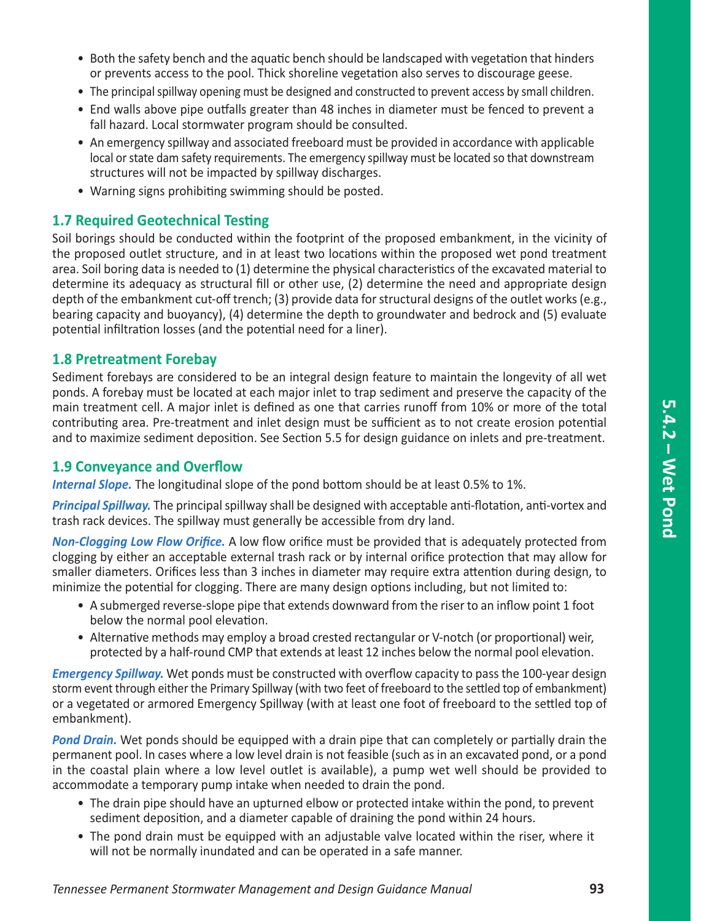- Both the safety bench and the aquatic bench should be landscaped with vegetation that hinders or prevents access to the pool. Thick shoreline vegetation also serves to discourage geese.
- The principal spillway opening must be designed and constructed to prevent access by small children.
- End walls above pipe outfalls greater than 48 inches in diameter must be fenced to prevent a fall hazard. Local stormwater program should be consulted.
- An emergency spillway and associated freeboard must be provided in accordance with applicable local or state dam safety requirements. The emergency spillway must be located so that downstream structures will not be impacted by spillway discharges.
- Warning signs prohibiting swimming should be posted.

# **1.7 Required Geotechnical Testing**

Soil borings should be conducted within the footprint of the proposed embankment, in the vicinity of the proposed outlet structure, and in at least two locations within the proposed wet pond treatment area. Soil boring data is needed to (1) determine the physical characteristics of the excavated material to determine its adequacy as structural fill or other use, (2) determine the need and appropriate design depth of the embankment cut-off trench; (3) provide data for structural designs of the outlet works (e.g., bearing capacity and buoyancy), (4) determine the depth to groundwater and bedrock and (5) evaluate potential infiltration losses (and the potential need for a liner).

## **1.8 Pretreatment Forebay**

Sediment forebays are considered to be an integral design feature to maintain the longevity of all wet ponds. A forebay must be located at each major inlet to trap sediment and preserve the capacity of the main treatment cell. A major inlet is defined as one that carries runoff from 10% or more of the total contributing area. Pre-treatment and inlet design must be sufficient as to not create erosion potential and to maximize sediment deposition. See Section 5.5 for design guidance on inlets and pre-treatment.

## **1.9 Conveyance and Overflow**

*Internal Slope.* The longitudinal slope of the pond bottom should be at least 0.5% to 1%.

*Principal Spillway.* The principal spillway shall be designed with acceptable anti-flotation, anti-vortex and trash rack devices. The spillway must generally be accessible from dry land.

*Non-Clogging Low Flow Orifice.* A low flow orifice must be provided that is adequately protected from clogging by either an acceptable external trash rack or by internal orifice protection that may allow for smaller diameters. Orifices less than 3 inches in diameter may require extra attention during design, to minimize the potential for clogging. There are many design options including, but not limited to:

- A submerged reverse-slope pipe that extends downward from the riser to an inflow point 1 foot below the normal pool elevation.
- Alternative methods may employ a broad crested rectangular or V-notch (or proportional) weir, protected by a half-round CMP that extends at least 12 inches below the normal pool elevation.

*Emergency Spillway.* Wet ponds must be constructed with overflow capacity to pass the 100-year design storm event through either the Primary Spillway (with two feet of freeboard to the settled top of embankment) or a vegetated or armored Emergency Spillway (with at least one foot of freeboard to the settled top of embankment).

*Pond Drain.* Wet ponds should be equipped with a drain pipe that can completely or partially drain the permanent pool. In cases where a low level drain is not feasible (such as in an excavated pond, or a pond in the coastal plain where a low level outlet is available), a pump wet well should be provided to accommodate a temporary pump intake when needed to drain the pond.

- The drain pipe should have an upturned elbow or protected intake within the pond, to prevent sediment deposition, and a diameter capable of draining the pond within 24 hours.
- The pond drain must be equipped with an adjustable valve located within the riser, where it will not be normally inundated and can be operated in a safe manner.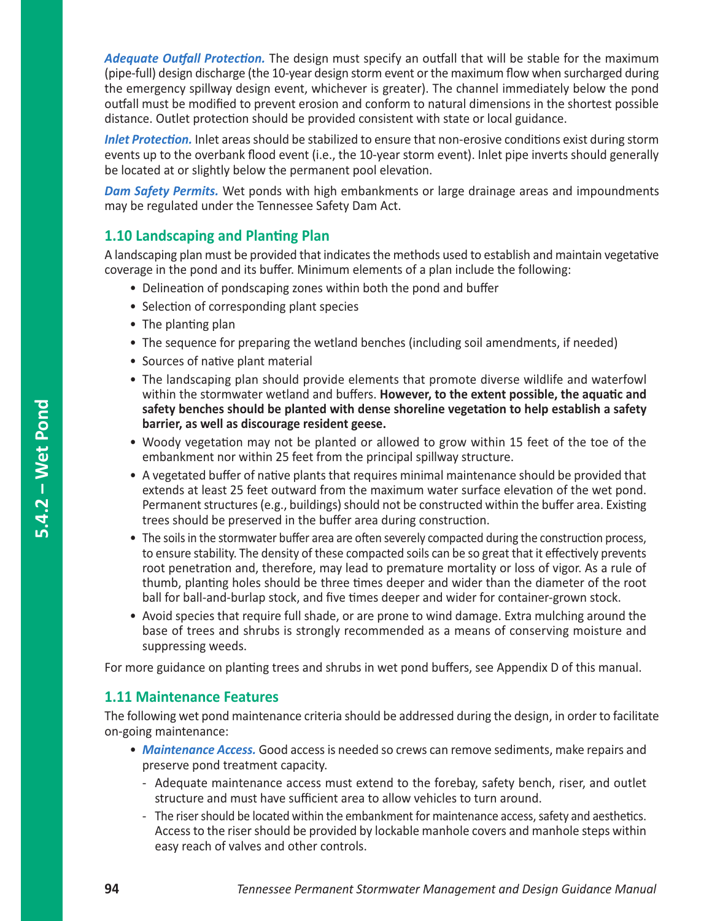*Adequate Outfall Protection.* The design must specify an outfall that will be stable for the maximum (pipe-full) design discharge (the 10-year design storm event or the maximum flow when surcharged during the emergency spillway design event, whichever is greater). The channel immediately below the pond outfall must be modified to prevent erosion and conform to natural dimensions in the shortest possible distance. Outlet protection should be provided consistent with state or local guidance.

*Inlet Protection.* Inlet areas should be stabilized to ensure that non-erosive conditions exist during storm events up to the overbank flood event (i.e., the 10-year storm event). Inlet pipe inverts should generally be located at or slightly below the permanent pool elevation.

*Dam Safety Permits.* Wet ponds with high embankments or large drainage areas and impoundments may be regulated under the Tennessee Safety Dam Act.

# **1.10 Landscaping and Planting Plan**

A landscaping plan must be provided that indicates the methods used to establish and maintain vegetative coverage in the pond and its buffer. Minimum elements of a plan include the following:

- Delineation of pondscaping zones within both the pond and buffer
- Selection of corresponding plant species
- The planting plan
- The sequence for preparing the wetland benches (including soil amendments, if needed)
- Sources of native plant material
- The landscaping plan should provide elements that promote diverse wildlife and waterfowl within the stormwater wetland and buffers. **However, to the extent possible, the aquatic and safety benches should be planted with dense shoreline vegetation to help establish a safety barrier, as well as discourage resident geese.**
- Woody vegetation may not be planted or allowed to grow within 15 feet of the toe of the embankment nor within 25 feet from the principal spillway structure.
- A vegetated buffer of native plants that requires minimal maintenance should be provided that extends at least 25 feet outward from the maximum water surface elevation of the wet pond. Permanent structures (e.g., buildings) should not be constructed within the buffer area. Existing trees should be preserved in the buffer area during construction.
- The soils in the stormwater buffer area are often severely compacted during the construction process, to ensure stability. The density of these compacted soils can be so great that it effectively prevents root penetration and, therefore, may lead to premature mortality or loss of vigor. As a rule of thumb, planting holes should be three times deeper and wider than the diameter of the root ball for ball-and-burlap stock, and five times deeper and wider for container-grown stock.
- Avoid species that require full shade, or are prone to wind damage. Extra mulching around the base of trees and shrubs is strongly recommended as a means of conserving moisture and suppressing weeds.

For more guidance on planting trees and shrubs in wet pond buffers, see Appendix D of this manual.

## **1.11 Maintenance Features**

The following wet pond maintenance criteria should be addressed during the design, in order to facilitate on-going maintenance:

- *Maintenance Access.* Good access is needed so crews can remove sediments, make repairs and preserve pond treatment capacity.
	- Adequate maintenance access must extend to the forebay, safety bench, riser, and outlet structure and must have sufficient area to allow vehicles to turn around.
	- The riser should be located within the embankment for maintenance access, safety and aesthetics. Access to the riser should be provided by lockable manhole covers and manhole steps within easy reach of valves and other controls.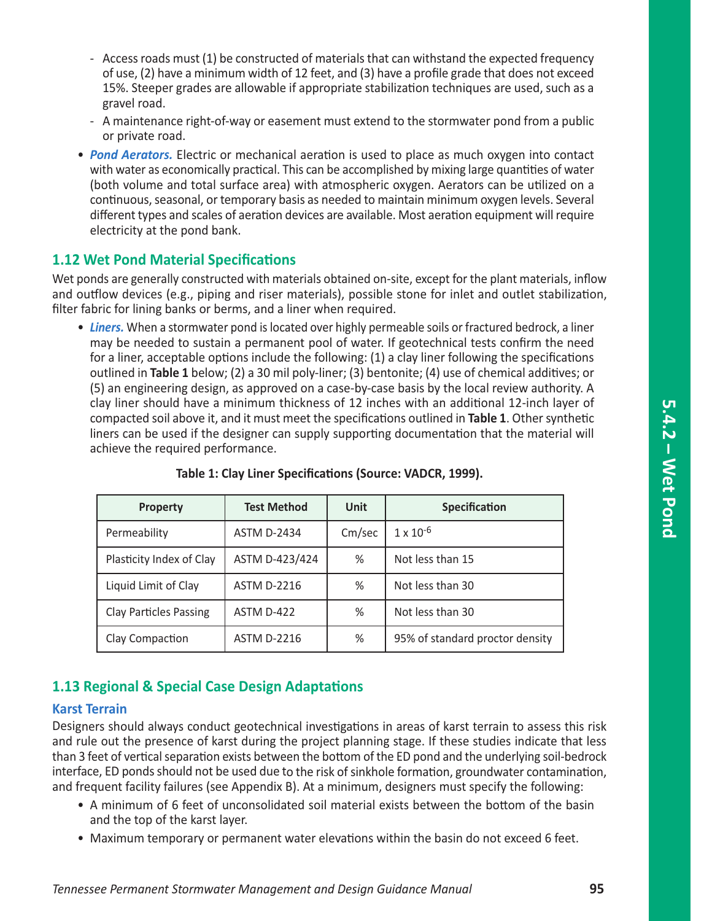- Access roads must (1) be constructed of materials that can withstand the expected frequency of use, (2) have a minimum width of 12 feet, and (3) have a profile grade that does not exceed 15%. Steeper grades are allowable if appropriate stabilization techniques are used, such as a gravel road.
- A maintenance right-of-way or easement must extend to the stormwater pond from a public or private road.
- *Pond Aerators.* Electric or mechanical aeration is used to place as much oxygen into contact with water as economically practical. This can be accomplished by mixing large quantities of water (both volume and total surface area) with atmospheric oxygen. Aerators can be utilized on a continuous, seasonal, or temporary basis as needed to maintain minimum oxygen levels. Several different types and scales of aeration devices are available. Most aeration equipment will require electricity at the pond bank.

## **1.12 Wet Pond Material Specifications**

Wet ponds are generally constructed with materials obtained on-site, except for the plant materials, inflow and outflow devices (e.g., piping and riser materials), possible stone for inlet and outlet stabilization, filter fabric for lining banks or berms, and a liner when required.

• *Liners.* When a stormwater pond is located over highly permeable soils or fractured bedrock, a liner may be needed to sustain a permanent pool of water. If geotechnical tests confirm the need for a liner, acceptable options include the following: (1) a clay liner following the specifications outlined in **Table 1** below; (2) a 30 mil poly-liner; (3) bentonite; (4) use of chemical additives; or (5) an engineering design, as approved on a case-by-case basis by the local review authority. A clay liner should have a minimum thickness of 12 inches with an additional 12-inch layer of compacted soil above it, and it must meet the specifications outlined in **Table 1**. Other synthetic liners can be used if the designer can supply supporting documentation that the material will achieve the required performance.

| <b>Property</b>               | <b>Test Method</b> | Unit   | <b>Specification</b>            |
|-------------------------------|--------------------|--------|---------------------------------|
| Permeability                  | <b>ASTM D-2434</b> | Cm/sec | $1 \times 10^{-6}$              |
| Plasticity Index of Clay      | ASTM D-423/424     | $\%$   | Not less than 15                |
| Liquid Limit of Clay          | <b>ASTM D-2216</b> | %      | Not less than 30                |
| <b>Clay Particles Passing</b> | ASTM D-422         | %      | Not less than 30                |
| Clay Compaction               | <b>ASTM D-2216</b> | %      | 95% of standard proctor density |

#### **Table 1: Clay Liner Specifications (Source: VADCR, 1999).**

## **1.13 Regional & Special Case Design Adaptations**

#### **Karst Terrain**

Designers should always conduct geotechnical investigations in areas of karst terrain to assess this risk and rule out the presence of karst during the project planning stage. If these studies indicate that less than 3 feet of vertical separation exists between the bottom of the ED pond and the underlying soil-bedrock interface, ED ponds should not be used due to the risk of sinkhole formation, groundwater contamination, and frequent facility failures (see Appendix B). At a minimum, designers must specify the following:

- A minimum of 6 feet of unconsolidated soil material exists between the bottom of the basin and the top of the karst layer.
- Maximum temporary or permanent water elevations within the basin do not exceed 6 feet.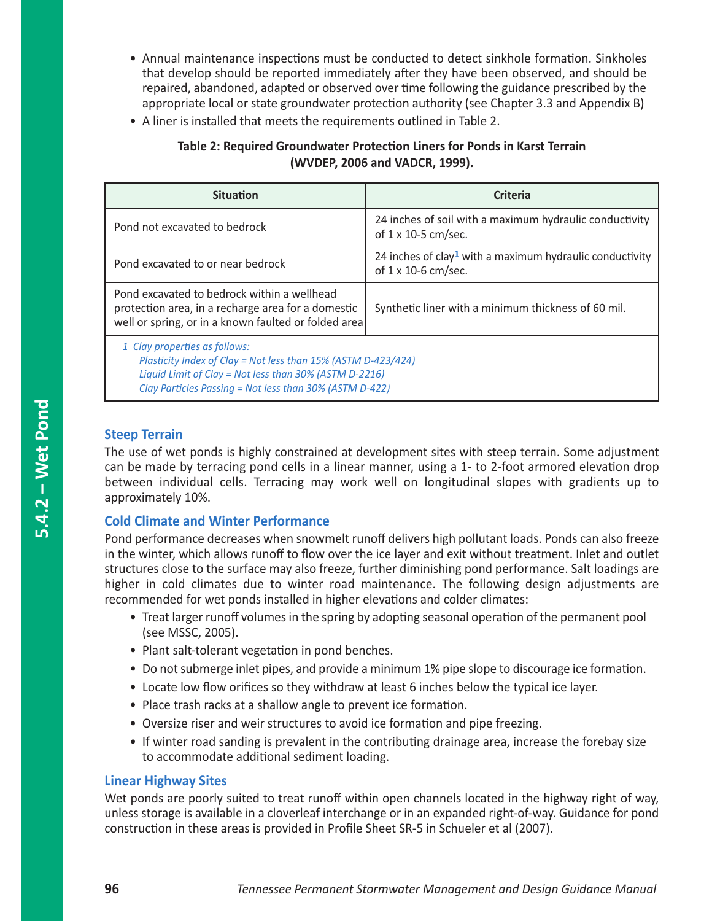- Annual maintenance inspections must be conducted to detect sinkhole formation. Sinkholes that develop should be reported immediately after they have been observed, and should be repaired, abandoned, adapted or observed over time following the guidance prescribed by the appropriate local or state groundwater protection authority (see Chapter 3.3 and Appendix B)
- A liner is installed that meets the requirements outlined in Table 2.

| Table 2: Required Groundwater Protection Liners for Ponds in Karst Terrain |
|----------------------------------------------------------------------------|
| (WVDEP, 2006 and VADCR, 1999).                                             |

| <b>Situation</b>                                                                                                                                                                                                    | <b>Criteria</b>                                                                                     |  |  |  |
|---------------------------------------------------------------------------------------------------------------------------------------------------------------------------------------------------------------------|-----------------------------------------------------------------------------------------------------|--|--|--|
| Pond not excavated to bedrock                                                                                                                                                                                       | 24 inches of soil with a maximum hydraulic conductivity<br>of 1 x 10-5 cm/sec.                      |  |  |  |
| Pond excavated to or near bedrock                                                                                                                                                                                   | 24 inches of clay <sup>1</sup> with a maximum hydraulic conductivity<br>of $1 \times 10$ -6 cm/sec. |  |  |  |
| Pond excavated to bedrock within a wellhead<br>protection area, in a recharge area for a domestic<br>well or spring, or in a known faulted or folded area                                                           | Synthetic liner with a minimum thickness of 60 mil.                                                 |  |  |  |
| 1 Clay properties as follows:<br>Plasticity Index of Clay = Not less than 15% (ASTM D-423/424)<br>Liquid Limit of Clay = Not less than 30% (ASTM D-2216)<br>Clay Particles Passing = Not less than 30% (ASTM D-422) |                                                                                                     |  |  |  |

### **Steep Terrain**

The use of wet ponds is highly constrained at development sites with steep terrain. Some adjustment can be made by terracing pond cells in a linear manner, using a 1- to 2-foot armored elevation drop between individual cells. Terracing may work well on longitudinal slopes with gradients up to approximately 10%.

#### **Cold Climate and Winter Performance**

Pond performance decreases when snowmelt runoff delivers high pollutant loads. Ponds can also freeze in the winter, which allows runoff to flow over the ice layer and exit without treatment. Inlet and outlet structures close to the surface may also freeze, further diminishing pond performance. Salt loadings are higher in cold climates due to winter road maintenance. The following design adjustments are recommended for wet ponds installed in higher elevations and colder climates:

- Treat larger runoff volumes in the spring by adopting seasonal operation of the permanent pool (see MSSC, 2005).
- Plant salt-tolerant vegetation in pond benches.
- Do not submerge inlet pipes, and provide a minimum 1% pipe slope to discourage ice formation.
- Locate low flow orifices so they withdraw at least 6 inches below the typical ice layer.
- Place trash racks at a shallow angle to prevent ice formation.
- Oversize riser and weir structures to avoid ice formation and pipe freezing.
- If winter road sanding is prevalent in the contributing drainage area, increase the forebay size to accommodate additional sediment loading.

#### **Linear Highway Sites**

Wet ponds are poorly suited to treat runoff within open channels located in the highway right of way, unless storage is available in a cloverleaf interchange or in an expanded right-of-way. Guidance for pond construction in these areas is provided in Profile Sheet SR-5 in Schueler et al (2007).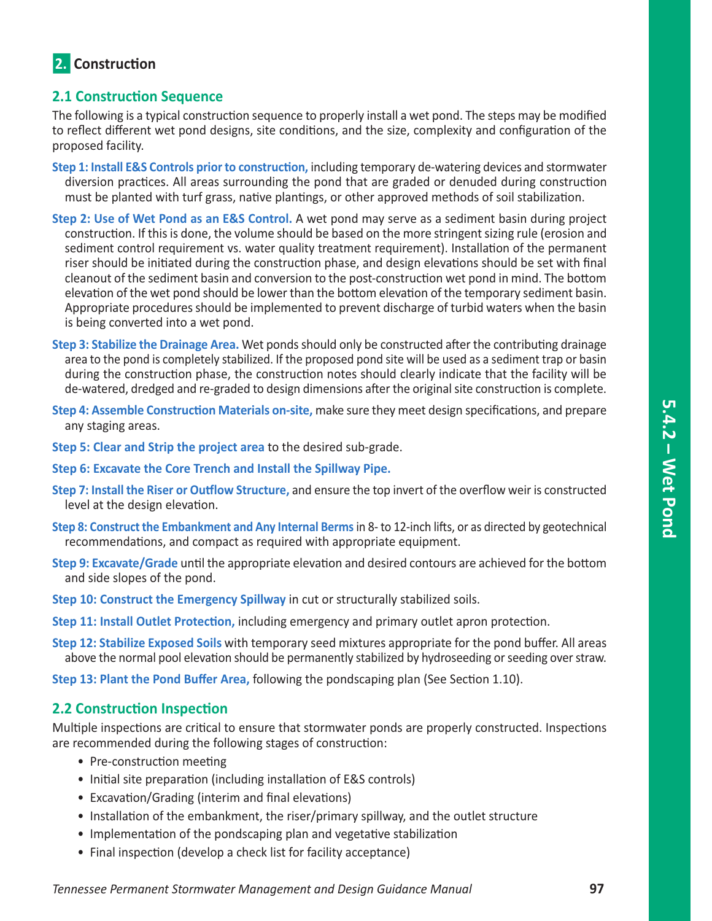# **2.** Construction

## **2.1 Construction Sequence**

The following is a typical construction sequence to properly install a wet pond. The steps may be modified to reflect different wet pond designs, site conditions, and the size, complexity and configuration of the proposed facility.

- **Step 1: Install E&S Controls prior to construction,** including temporary de-watering devices and stormwater diversion practices. All areas surrounding the pond that are graded or denuded during construction must be planted with turf grass, native plantings, or other approved methods of soil stabilization.
- **Step 2: Use of Wet Pond as an E&S Control.** A wet pond may serve as a sediment basin during project construction. If this is done, the volume should be based on the more stringent sizing rule (erosion and sediment control requirement vs. water quality treatment requirement). Installation of the permanent riser should be initiated during the construction phase, and design elevations should be set with final cleanout of the sediment basin and conversion to the post-construction wet pond in mind. The bottom elevation of the wet pond should be lower than the bottom elevation of the temporary sediment basin. Appropriate procedures should be implemented to prevent discharge of turbid waters when the basin is being converted into a wet pond.
- **Step 3: Stabilize the Drainage Area.** Wet ponds should only be constructed after the contributing drainage area to the pond is completely stabilized. If the proposed pond site will be used as a sediment trap or basin during the construction phase, the construction notes should clearly indicate that the facility will be de-watered, dredged and re-graded to design dimensions after the original site construction is complete.
- **Step 4: Assemble Construction Materials on-site,** make sure they meet design specifications, and prepare any staging areas.
- **Step 5: Clear and Strip the project area** to the desired sub-grade.
- **Step 6: Excavate the Core Trench and Install the Spillway Pipe.**
- **Step 7: Install the Riser or Outflow Structure,** and ensure the top invert of the overflow weir is constructed level at the design elevation.
- **Step 8: Construct the Embankment and Any Internal Berms** in 8- to 12-inch lifts, or as directed by geotechnical recommendations, and compact as required with appropriate equipment.
- **Step 9: Excavate/Grade** until the appropriate elevation and desired contours are achieved for the bottom and side slopes of the pond.
- **Step 10: Construct the Emergency Spillway** in cut or structurally stabilized soils.
- **Step 11: Install Outlet Protection,** including emergency and primary outlet apron protection.
- **Step 12: Stabilize Exposed Soils** with temporary seed mixtures appropriate for the pond buffer. All areas above the normal pool elevation should be permanently stabilized by hydroseeding or seeding over straw.

**Step 13: Plant the Pond Buffer Area,** following the pondscaping plan (See Section 1.10).

## **2.2 Construction Inspection**

Multiple inspections are critical to ensure that stormwater ponds are properly constructed. Inspections are recommended during the following stages of construction:

- Pre-construction meeting
- Initial site preparation (including installation of E&S controls)
- Excavation/Grading (interim and final elevations)
- Installation of the embankment, the riser/primary spillway, and the outlet structure
- Implementation of the pondscaping plan and vegetative stabilization
- Final inspection (develop a check list for facility acceptance)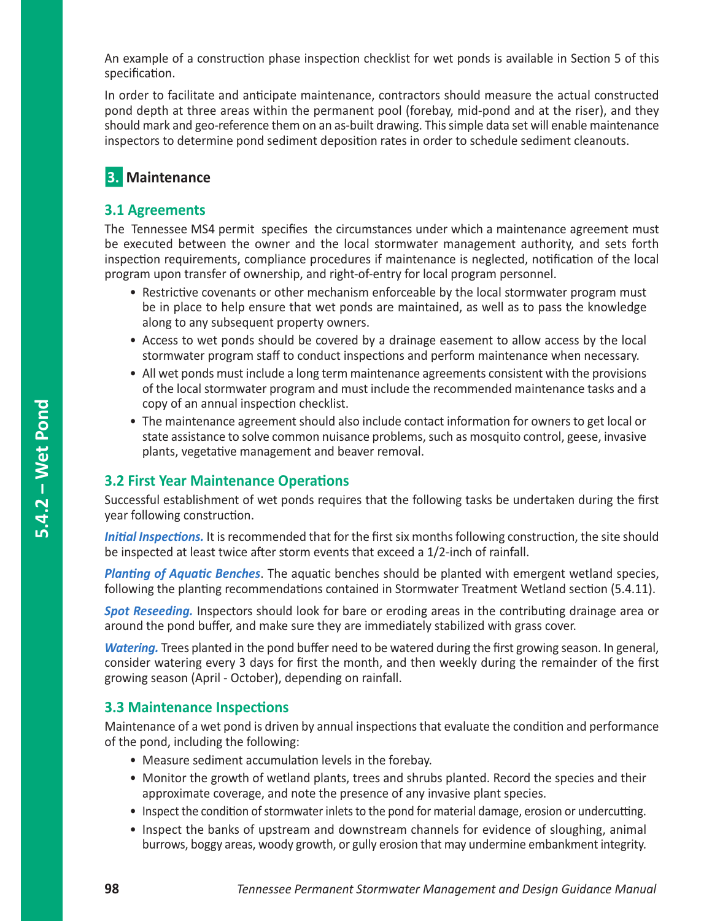An example of a construction phase inspection checklist for wet ponds is available in Section 5 of this specification.

In order to facilitate and anticipate maintenance, contractors should measure the actual constructed pond depth at three areas within the permanent pool (forebay, mid-pond and at the riser), and they should mark and geo-reference them on an as-built drawing. This simple data set will enable maintenance inspectors to determine pond sediment deposition rates in order to schedule sediment cleanouts.

# **3. Maintenance**

## **3.1 Agreements**

The Tennessee MS4 permit specifies the circumstances under which a maintenance agreement must be executed between the owner and the local stormwater management authority, and sets forth inspection requirements, compliance procedures if maintenance is neglected, notification of the local program upon transfer of ownership, and right-of-entry for local program personnel.

- Restrictive covenants or other mechanism enforceable by the local stormwater program must be in place to help ensure that wet ponds are maintained, as well as to pass the knowledge along to any subsequent property owners.
- Access to wet ponds should be covered by a drainage easement to allow access by the local stormwater program staff to conduct inspections and perform maintenance when necessary.
- All wet ponds must include a long term maintenance agreements consistent with the provisions of the local stormwater program and must include the recommended maintenance tasks and a copy of an annual inspection checklist.
- The maintenance agreement should also include contact information for owners to get local or state assistance to solve common nuisance problems, such as mosquito control, geese, invasive plants, vegetative management and beaver removal.

# **3.2 First Year Maintenance Operations**

Successful establishment of wet ponds requires that the following tasks be undertaken during the first year following construction.

*Initial Inspections.* It is recommended that for the first six months following construction, the site should be inspected at least twice after storm events that exceed a 1/2-inch of rainfall.

*Planting of Aquatic Benches*. The aquatic benches should be planted with emergent wetland species, following the planting recommendations contained in Stormwater Treatment Wetland section (5.4.11).

*Spot Reseeding.* Inspectors should look for bare or eroding areas in the contributing drainage area or around the pond buffer, and make sure they are immediately stabilized with grass cover.

*Watering.* Trees planted in the pond buffer need to be watered during the first growing season. In general, consider watering every 3 days for first the month, and then weekly during the remainder of the first growing season (April - October), depending on rainfall.

## **3.3 Maintenance Inspections**

Maintenance of a wet pond is driven by annual inspections that evaluate the condition and performance of the pond, including the following:

- Measure sediment accumulation levels in the forebay.
- Monitor the growth of wetland plants, trees and shrubs planted. Record the species and their approximate coverage, and note the presence of any invasive plant species.
- Inspect the condition of stormwater inlets to the pond for material damage, erosion or undercutting.
- Inspect the banks of upstream and downstream channels for evidence of sloughing, animal burrows, boggy areas, woody growth, or gully erosion that may undermine embankment integrity.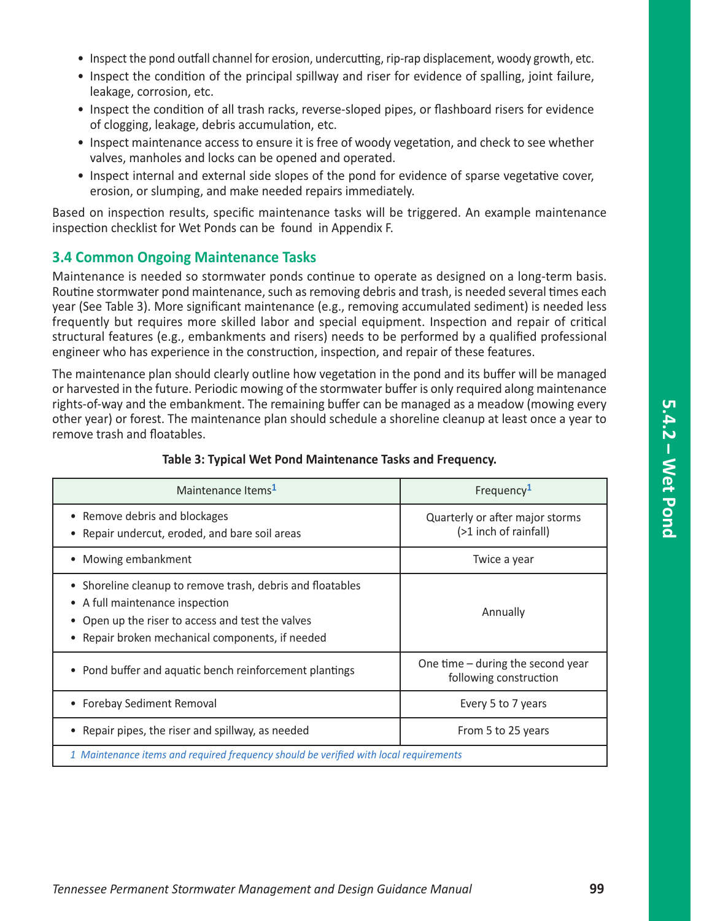- Inspect the pond outfall channel for erosion, undercutting, rip-rap displacement, woody growth, etc.
- Inspect the condition of the principal spillway and riser for evidence of spalling, joint failure, leakage, corrosion, etc.
- Inspect the condition of all trash racks, reverse-sloped pipes, or flashboard risers for evidence of clogging, leakage, debris accumulation, etc.
- Inspect maintenance access to ensure it is free of woody vegetation, and check to see whether valves, manholes and locks can be opened and operated.
- Inspect internal and external side slopes of the pond for evidence of sparse vegetative cover, erosion, or slumping, and make needed repairs immediately.

Based on inspection results, specific maintenance tasks will be triggered. An example maintenance inspection checklist for Wet Ponds can be found in Appendix F.

#### **3.4 Common Ongoing Maintenance Tasks**

Maintenance is needed so stormwater ponds continue to operate as designed on a long-term basis. Routine stormwater pond maintenance, such as removing debris and trash, is needed several times each year (See Table 3). More significant maintenance (e.g., removing accumulated sediment) is needed less frequently but requires more skilled labor and special equipment. Inspection and repair of critical structural features (e.g., embankments and risers) needs to be performed by a qualified professional engineer who has experience in the construction, inspection, and repair of these features.

The maintenance plan should clearly outline how vegetation in the pond and its buffer will be managed or harvested in the future. Periodic mowing of the stormwater buffer is only required along maintenance rights-of-way and the embankment. The remaining buffer can be managed as a meadow (mowing every other year) or forest. The maintenance plan should schedule a shoreline cleanup at least once a year to remove trash and floatables.

| Maintenance Items <sup>1</sup>                                                                                                                                                                       | Frequency <sup>1</sup>                                        |  |
|------------------------------------------------------------------------------------------------------------------------------------------------------------------------------------------------------|---------------------------------------------------------------|--|
| Remove debris and blockages<br>Repair undercut, eroded, and bare soil areas                                                                                                                          | Quarterly or after major storms<br>(>1 inch of rainfall)      |  |
| Mowing embankment                                                                                                                                                                                    | Twice a year                                                  |  |
| • Shoreline cleanup to remove trash, debris and floatables<br>• A full maintenance inspection<br>• Open up the riser to access and test the valves<br>Repair broken mechanical components, if needed | Annually                                                      |  |
| • Pond buffer and aquatic bench reinforcement plantings                                                                                                                                              | One time $-$ during the second year<br>following construction |  |
| <b>Forebay Sediment Removal</b>                                                                                                                                                                      | Every 5 to 7 years                                            |  |
| Repair pipes, the riser and spillway, as needed                                                                                                                                                      | From 5 to 25 years                                            |  |
| 1 Maintenance items and required frequency should be verified with local requirements                                                                                                                |                                                               |  |

#### **Table 3: Typical Wet Pond Maintenance Tasks and Frequency.**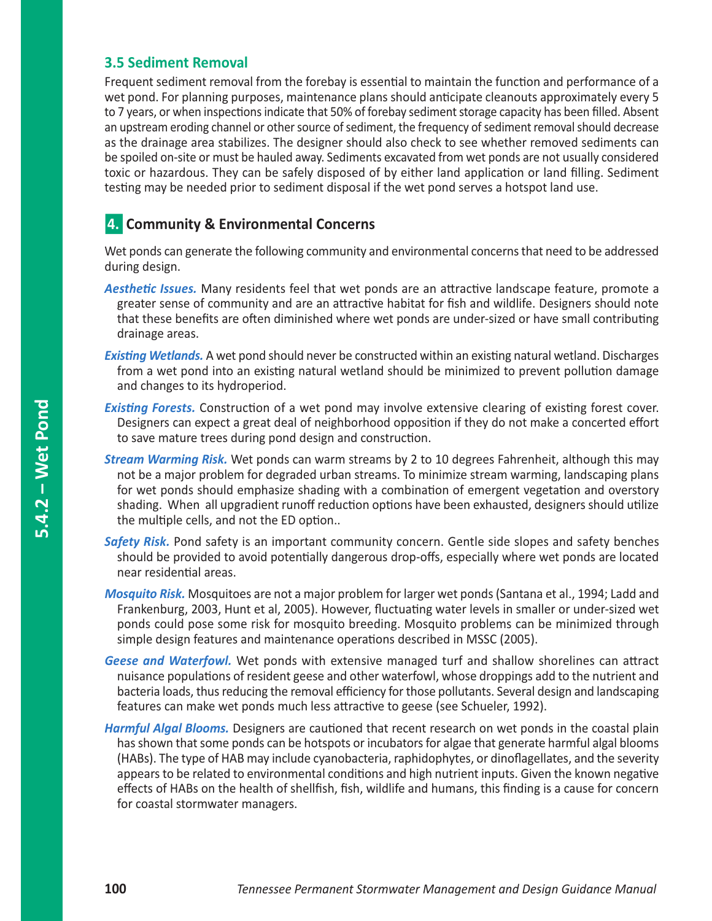# **3.5 Sediment Removal**

Frequent sediment removal from the forebay is essential to maintain the function and performance of a wet pond. For planning purposes, maintenance plans should anticipate cleanouts approximately every 5 to 7 years, or when inspections indicate that 50% of forebay sediment storage capacity has been filled. Absent an upstream eroding channel or other source of sediment, the frequency of sediment removal should decrease as the drainage area stabilizes. The designer should also check to see whether removed sediments can be spoiled on-site or must be hauled away. Sediments excavated from wet ponds are not usually considered toxic or hazardous. They can be safely disposed of by either land application or land filling. Sediment testing may be needed prior to sediment disposal if the wet pond serves a hotspot land use.

# n**4. Community & Environmental Concerns**

Wet ponds can generate the following community and environmental concerns that need to be addressed during design.

- *Aesthetic Issues.* Many residents feel that wet ponds are an attractive landscape feature, promote a greater sense of community and are an attractive habitat for fish and wildlife. Designers should note that these benefits are often diminished where wet ponds are under-sized or have small contributing drainage areas.
- *Existing Wetlands.* A wet pond should never be constructed within an existing natural wetland. Discharges from a wet pond into an existing natural wetland should be minimized to prevent pollution damage and changes to its hydroperiod.
- **Existing Forests.** Construction of a wet pond may involve extensive clearing of existing forest cover. Designers can expect a great deal of neighborhood opposition if they do not make a concerted effort to save mature trees during pond design and construction.
- *Stream Warming Risk.* Wet ponds can warm streams by 2 to 10 degrees Fahrenheit, although this may not be a major problem for degraded urban streams. To minimize stream warming, landscaping plans for wet ponds should emphasize shading with a combination of emergent vegetation and overstory shading. When all upgradient runoff reduction options have been exhausted, designers should utilize the multiple cells, and not the ED option..
- *Safety Risk.* Pond safety is an important community concern. Gentle side slopes and safety benches should be provided to avoid potentially dangerous drop-offs, especially where wet ponds are located near residential areas.
- *Mosquito Risk.* Mosquitoes are not a major problem for larger wet ponds (Santana et al., 1994; Ladd and Frankenburg, 2003, Hunt et al, 2005). However, fluctuating water levels in smaller or under-sized wet ponds could pose some risk for mosquito breeding. Mosquito problems can be minimized through simple design features and maintenance operations described in MSSC (2005).
- *Geese and Waterfowl.* Wet ponds with extensive managed turf and shallow shorelines can attract nuisance populations of resident geese and other waterfowl, whose droppings add to the nutrient and bacteria loads, thus reducing the removal efficiency for those pollutants. Several design and landscaping features can make wet ponds much less attractive to geese (see Schueler, 1992).
- *Harmful Algal Blooms.* Designers are cautioned that recent research on wet ponds in the coastal plain has shown that some ponds can be hotspots or incubators for algae that generate harmful algal blooms (HABs). The type of HAB may include cyanobacteria, raphidophytes, or dinoflagellates, and the severity appears to be related to environmental conditions and high nutrient inputs. Given the known negative effects of HABs on the health of shellfish, fish, wildlife and humans, this finding is a cause for concern for coastal stormwater managers.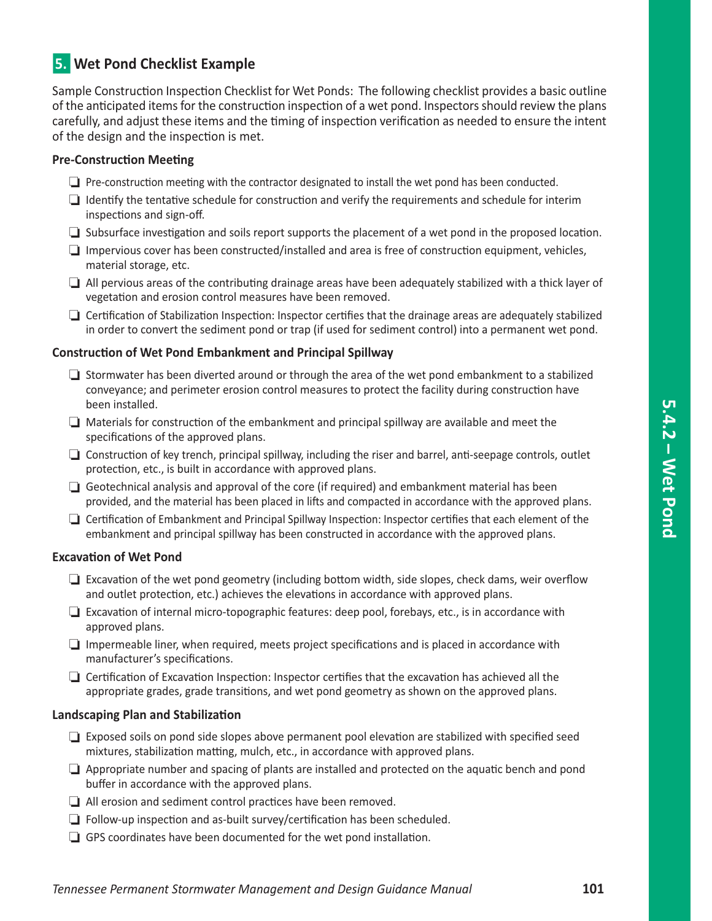# **5. Wet Pond Checklist Example**

Sample Construction Inspection Checklist for Wet Ponds: The following checklist provides a basic outline of the anticipated items for the construction inspection of a wet pond. Inspectors should review the plans carefully, and adjust these items and the timing of inspection verification as needed to ensure the intent of the design and the inspection is met.

#### **Pre-Construction Meeting**

- $\Box$  Pre-construction meeting with the contractor designated to install the wet pond has been conducted.
- $\Box$  Identify the tentative schedule for construction and verify the requirements and schedule for interim inspections and sign-off.
- $\Box$  Subsurface investigation and soils report supports the placement of a wet pond in the proposed location.
- $\Box$  Impervious cover has been constructed/installed and area is free of construction equipment, vehicles, material storage, etc.
- $\Box$  All pervious areas of the contributing drainage areas have been adequately stabilized with a thick layer of vegetation and erosion control measures have been removed.
- $\Box$  Certification of Stabilization Inspection: Inspector certifies that the drainage areas are adequately stabilized in order to convert the sediment pond or trap (if used for sediment control) into a permanent wet pond.

#### **Construction of Wet Pond Embankment and Principal Spillway**

- $\Box$  Stormwater has been diverted around or through the area of the wet pond embankment to a stabilized conveyance; and perimeter erosion control measures to protect the facility during construction have been installed.
- $\Box$  Materials for construction of the embankment and principal spillway are available and meet the specifications of the approved plans.
- $\Box$  Construction of key trench, principal spillway, including the riser and barrel, anti-seepage controls, outlet protection, etc., is built in accordance with approved plans.
- $\Box$  Geotechnical analysis and approval of the core (if required) and embankment material has been provided, and the material has been placed in lifts and compacted in accordance with the approved plans.
- $\Box$  Certification of Embankment and Principal Spillway Inspection: Inspector certifies that each element of the embankment and principal spillway has been constructed in accordance with the approved plans.

#### **Excavation of Wet Pond**

- $\Box$  Excavation of the wet pond geometry (including bottom width, side slopes, check dams, weir overflow and outlet protection, etc.) achieves the elevations in accordance with approved plans.
- $\Box$  Excavation of internal micro-topographic features: deep pool, forebays, etc., is in accordance with approved plans.
- $\Box$  Impermeable liner, when required, meets project specifications and is placed in accordance with manufacturer's specifications.
- $\Box$  Certification of Excavation Inspection: Inspector certifies that the excavation has achieved all the appropriate grades, grade transitions, and wet pond geometry as shown on the approved plans.

#### **Landscaping Plan and Stabilization**

- $\Box$  Exposed soils on pond side slopes above permanent pool elevation are stabilized with specified seed mixtures, stabilization matting, mulch, etc., in accordance with approved plans.
- $\Box$  Appropriate number and spacing of plants are installed and protected on the aquatic bench and pond buffer in accordance with the approved plans.
- $\Box$  All erosion and sediment control practices have been removed.
- $\Box$  Follow-up inspection and as-built survey/certification has been scheduled.
- $\Box$  GPS coordinates have been documented for the wet pond installation.